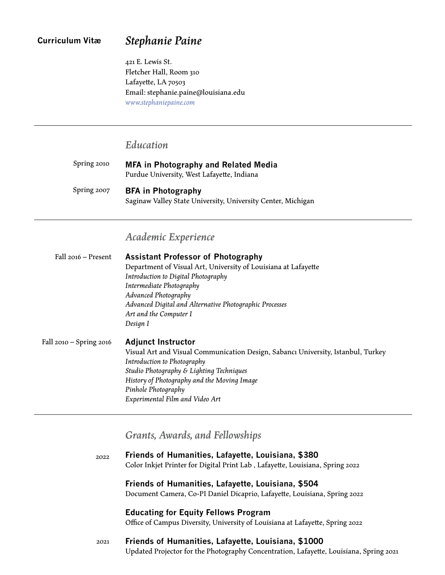# *Stephanie Paine*

421 E. Lewis St. Fletcher Hall, Room 310 Lafayette, LA 70503 Email: stephanie.paine@louisiana.edu *[www.stephaniepaine.com](http://stephaniepaine.com/)*

# *Education*

| Spring 2010 | <b>MFA in Photography and Related Media</b><br>Purdue University, West Lafayette, Indiana |
|-------------|-------------------------------------------------------------------------------------------|
| Spring 2007 | <b>BFA in Photography</b><br>Saginaw Valley State University, University Center, Michigan |

# *Academic Experience*

| Fall 2016 – Present     | <b>Assistant Professor of Photography</b>                                        |  |  |  |
|-------------------------|----------------------------------------------------------------------------------|--|--|--|
|                         | Department of Visual Art, University of Louisiana at Lafayette                   |  |  |  |
|                         | Introduction to Digital Photography                                              |  |  |  |
|                         | Intermediate Photography                                                         |  |  |  |
|                         | Advanced Photography                                                             |  |  |  |
|                         | Advanced Digital and Alternative Photographic Processes                          |  |  |  |
|                         | Art and the Computer I                                                           |  |  |  |
|                         | Design I                                                                         |  |  |  |
| Fall 2010 – Spring 2016 | <b>Adjunct Instructor</b>                                                        |  |  |  |
|                         | Visual Art and Visual Communication Design, Sabancı University, Istanbul, Turkey |  |  |  |
|                         | Introduction to Photography                                                      |  |  |  |
|                         | Studio Photography & Lighting Techniques                                         |  |  |  |
|                         | History of Photography and the Moving Image                                      |  |  |  |
|                         | Pinhole Photography                                                              |  |  |  |
|                         | Experimental Film and Video Art                                                  |  |  |  |

# *Grants, Awards, and Fellowships*

| 2022 | Friends of Humanities, Lafayette, Louisiana, \$380                                     |
|------|----------------------------------------------------------------------------------------|
|      | Color Inkjet Printer for Digital Print Lab, Lafayette, Louisiana, Spring 2022          |
|      | Friends of Humanities, Lafayette, Louisiana, \$504                                     |
|      | Document Camera, Co-PI Daniel Dicaprio, Lafayette, Louisiana, Spring 2022              |
|      | <b>Educating for Equity Fellows Program</b>                                            |
|      | Office of Campus Diversity, University of Louisiana at Lafayette, Spring 2022          |
| 2021 | Friends of Humanities, Lafayette, Louisiana, \$1000                                    |
|      | Updated Projector for the Photography Concentration, Lafayette, Louisiana, Spring 2021 |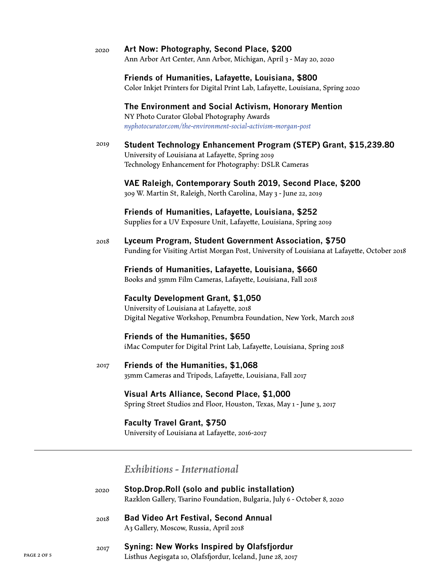|             | 2020 | Art Now: Photography, Second Place, \$200<br>Ann Arbor Art Center, Ann Arbor, Michigan, April 3 - May 20, 2020                                                                |  |  |
|-------------|------|-------------------------------------------------------------------------------------------------------------------------------------------------------------------------------|--|--|
|             |      | Friends of Humanities, Lafayette, Louisiana, \$800<br>Color Inkjet Printers for Digital Print Lab, Lafayette, Louisiana, Spring 2020                                          |  |  |
|             |      | The Environment and Social Activism, Honorary Mention<br>NY Photo Curator Global Photography Awards<br>nyphotocurator.com/the-environment-social-activism-morgan-post         |  |  |
|             | 2019 | Student Technology Enhancement Program (STEP) Grant, \$15,239.80<br>University of Louisiana at Lafayette, Spring 2019<br>Technology Enhancement for Photography: DSLR Cameras |  |  |
|             |      | VAE Raleigh, Contemporary South 2019, Second Place, \$200<br>309 W. Martin St, Raleigh, North Carolina, May 3 - June 22, 2019                                                 |  |  |
|             |      | Friends of Humanities, Lafayette, Louisiana, \$252<br>Supplies for a UV Exposure Unit, Lafayette, Louisiana, Spring 2019                                                      |  |  |
|             | 2018 | Lyceum Program, Student Government Association, \$750<br>Funding for Visiting Artist Morgan Post, University of Louisiana at Lafayette, October 2018                          |  |  |
|             |      | Friends of Humanities, Lafayette, Louisiana, \$660<br>Books and 35mm Film Cameras, Lafayette, Louisiana, Fall 2018                                                            |  |  |
|             |      | <b>Faculty Development Grant, \$1,050</b><br>University of Louisiana at Lafayette, 2018<br>Digital Negative Workshop, Penumbra Foundation, New York, March 2018               |  |  |
|             |      | <b>Friends of the Humanities, \$650</b><br>iMac Computer for Digital Print Lab, Lafayette, Louisiana, Spring 2018                                                             |  |  |
|             | 2017 | Friends of the Humanities, \$1,068<br>35mm Cameras and Tripods, Lafayette, Louisiana, Fall 2017                                                                               |  |  |
|             |      | Visual Arts Alliance, Second Place, \$1,000<br>Spring Street Studios 2nd Floor, Houston, Texas, May 1 - June 3, 2017                                                          |  |  |
|             |      | <b>Faculty Travel Grant, \$750</b><br>University of Louisiana at Lafayette, 2016-2017                                                                                         |  |  |
|             |      | Exhibitions - International                                                                                                                                                   |  |  |
|             | 2020 | Stop.Drop.Roll (solo and public installation)<br>Razklon Gallery, Tsarino Foundation, Bulgaria, July 6 - October 8, 2020                                                      |  |  |
|             | 2018 | <b>Bad Video Art Festival, Second Annual</b><br>A3 Gallery, Moscow, Russia, April 2018                                                                                        |  |  |
| PAGE 2 OF 5 | 2017 | <b>Syning: New Works Inspired by Olafsfjordur</b><br>Listhus Aegisgata 10, Olafsfjordur, Iceland, June 28, 2017                                                               |  |  |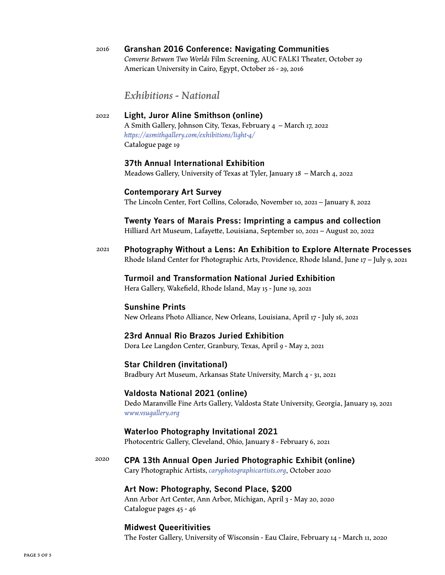**Granshan 2016 Conference: Navigating Communities** *Converse Between Two Worlds* Film Screening, AUC FALKI Theater, October 29 American University in Cairo, Egypt, October 26 - 29, 2016 2016

*Exhibitions - National*

**Light, Juror Aline Smithson (online)** A Smith Gallery, Johnson City, Texas, February 4 – March 17, 2022 *[https://asmithgallery.com/exhibitions/light-4/](https://asmithgallery.com/exhibitions/light-4/ )* Catalogue page 19 2022

## **37th Annual International Exhibition**

Meadows Gallery, University of Texas at Tyler, January 18 – March 4, 2022

#### **Contemporary Art Survey**

The Lincoln Center, Fort Collins, Colorado, November 10, 2021 – January 8, 2022

**Twenty Years of Marais Press: Imprinting a campus and collection** Hilliard Art Museum, Lafayette, Louisiana, September 10, 2021 – August 20, 2022

2021 **Photography Without a Lens: An Exhibition to Explore Alternate Processes** Rhode Island Center for Photographic Arts, Providence, Rhode Island, June 17 – July 9, 2021

#### **Turmoil and Transformation National Juried Exhibition**

Hera Gallery, Wakefield, Rhode Island, May 15 - June 19, 2021

### **Sunshine Prints**

New Orleans Photo Alliance, New Orleans, Louisiana, April 17 - July 16, 2021

## **23rd Annual Rio Brazos Juried Exhibition**

Dora Lee Langdon Center, Granbury, Texas, April 9 - May 2, 2021

#### **Star Children (invitational)**

Bradbury Art Museum[,](http:// caryphotographicartists.org) Arkansas State University, March 4 - 31, 2021

#### **Valdosta National 2021 (online)**

Dedo Maranville Fine Arts Gallery, Valdosta State University, Georgia, January 19, 2021 *[www.vsugallery.org](http://www.vsugallery.org)*

## **Waterloo Photography Invitational 2021**

Photocentric Gallery, Cleveland, Ohio, January 8 - February 6, 2021

**CPA 13th Annual Open Juried Photographic Exhibit (online)** Cary Photographic Artists, *[caryphotographicartists.org](http:// caryphotographicartists.org)*, October 2020 2020

#### **Art Now: Photography, Second Place, \$200**

Ann Arbor Art Center, Ann Arbor, Michigan, April 3 - May 20, 2020 Catalogue pages 45 - 46

#### **Midwest Queeritivities**

The Foster Gallery, University of Wisconsin - Eau Claire, February 14 - March 11, 2020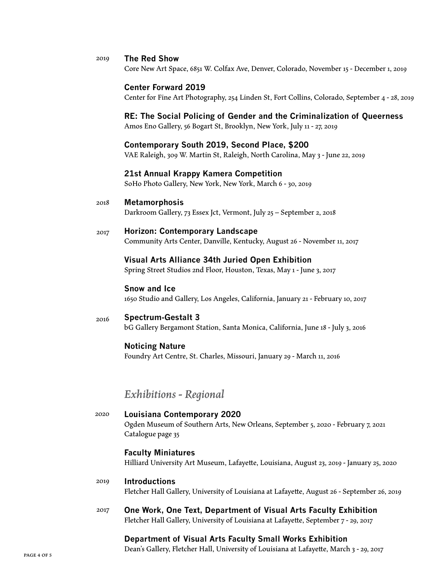#### **The Red Show** 2019

Core New Art Space, 6851 W. Colfax Ave, Denver, Colorado, November 15 - December 1, 2019

#### **Center Forward 2019**

Center for Fine Art Photography, 254 Linden St, Fort Collins, Colorado, September 4 - 28, 2019

## **RE: The Social Policing of Gender and the Criminalization of Queerness**

Amos Eno Gallery, 56 Bogart St, Brooklyn, New York, July 11 - 27, 2019

#### **Contemporary South 2019, Second Place, \$200**

VAE Raleigh, 309 W. Martin St, Raleigh, North Carolina, May 3 - June 22, 2019

#### **21st Annual Krappy Kamera Competition**

SoHo Photo Gallery, New York, New York, March 6 - 30, 2019

**Metamorphosis** 2018

Darkroom Gallery, 73 Essex Jct, Vermont, July 25 – September 2, 2018

#### **Horizon: Contemporary Landscape** Community Arts Center, Danville, Kentucky, August 26 - November 11, 2017 2017

### **Visual Arts Alliance 34th Juried Open Exhibition**

Spring Street Studios 2nd Floor, Houston, Texas, May 1 - June 3, 2017

#### **Snow and Ice**

1650 Studio and Gallery, Los Angeles, California, January 21 - February 10, 2017

#### **Spectrum-Gestalt 3** 2016

bG Gallery Bergamont Station, Santa Monica, California, June 18 - July 3, 2016

### **Noticing Nature**

Foundry Art Centre, St. Charles, Missouri, January 29 - March 11, 2016

# *Exhibitions - Regional*

**Louisiana Contemporary 2020** Ogden Museum of Southern Arts, New Orleans, September 5, 2020 - February 7, 2021 Catalogue page 35 2020

### **Faculty Miniatures**

Hilliard University Art Museum, Lafayette, Louisiana, August 23, 2019 - January 25, 2020

#### **Introductions** 2019

Fletcher Hall Gallery, University of Louisiana at Lafayette, August 26 - September 26, 2019

**One Work, One Text, Department of Visual Arts Faculty Exhibition** Fletcher Hall Gallery, University of Louisiana at Lafayette, September 7 - 29, 2017 2017

## **Department of Visual Arts Faculty Small Works Exhibition**

Dean's Gallery, Fletcher Hall, University of Louisiana at Lafayette, March 3 - 29, 2017